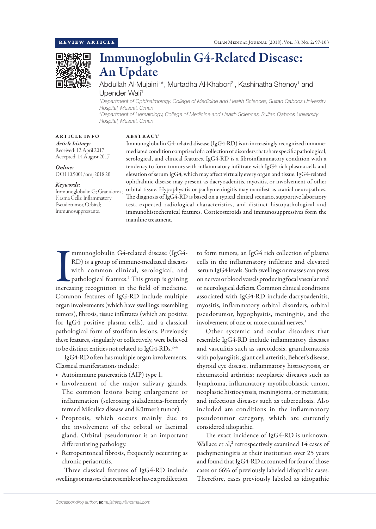

# Immunoglobulin G4-Related Disease: An Update

Abdullah Al-Mujaini<sup>1\*</sup>, Murtadha Al-Khabori<sup>2</sup>, Kashinatha Shenoy<sup>1</sup> and Upender Wali<sup>1</sup>

*1 Department of Ophthalmology, College of Medicine and Health Sciences, Sultan Qaboos University Hospital, Muscat, Oman*

*2 Department of Hematology, College of Medicine and Health Sciences, Sultan Qaboos University Hospital, Muscat, Oman*

ARTICLE INFO *Article history:* Received: 12 April 2017 Accepted: 14 August 2017

*Online:* DOI 10.5001/omj.2018.20

## *Keywords:*

Immunoglobulin G; Granuloma; Plasma Cells; Inflammatory Pseudotumor, Orbital; Immunosuppressants.

ABSTRACT

Immunoglobulin G4-related disease (IgG4-RD) is an increasingly recognized immunemediated condition comprised of a collection of disorders that share specific pathological, serological, and clinical features. IgG4-RD is a fibroinflammatory condition with a tendency to form tumors with inflammatory infiltrate with IgG4 rich plasma cells and elevation of serum IgG4, which may affect virtually every organ and tissue. IgG4-related ophthalmic disease may present as dacryoadenitis, myositis, or involvement of other orbital tissue. Hypophysitis or pachymeningitis may manifest as cranial neuropathies. The diagnosis of IgG4-RD is based on a typical clinical scenario, supportive laboratory test, expected radiological characteristics, and distinct histopathological and immunohistochemical features. Corticosteroids and immunosuppressives form the mainline treatment.

Immunoglobulin G4-related disease (IgG4-RD) is a group of immune-mediated diseases with common clinical, serological, and pathological features.<sup>1</sup> This group is gaining increasing recognition in the field of medicine. mmunoglobulin G4-related disease (IgG4- RD) is a group of immune-mediated diseases with common clinical, serological, and pathological features.<sup>1</sup> This group is gaining Common features of IgG-RD include multiple organ involvements (which have swellings resembling tumors), fibrosis, tissue infiltrates (which are positive for IgG4 positive plasma cells), and a classical pathological form of storiform lesions. Previously these features, singularly or collectively, were believed to be distinct entities not related to IgG4-RDs.<sup>2-4</sup>

IgG4-RD often has multiple organ involvements. Classical manifestations include:

- Autoimmune pancreatitis (AIP) type 1.
- Involvement of the major salivary glands. The common lesions being enlargement or inflammation (sclerosing sialadenitis-formerly termed Mikulicz disease and Küttner's tumor).
- Proptosis, which occurs mainly due to the involvement of the orbital or lacrimal gland. Orbital pseudotumor is an important differentiating pathology.
- Retroperitoneal fibrosis, frequently occurring as chronic periaortitis.

Three classical features of IgG4-RD include swellings or masses that resemble or have a predilection to form tumors, an IgG4 rich collection of plasma cells in the inflammatory infiltrate and elevated serum IgG4 levels. Such swellings or masses can press on nerves or blood vessels producing focal vascular and or neurological deficits. Common clinical conditions associated with IgG4-RD include dacryoadenitis, myositis, inflammatory orbital disorders, orbital pseudotumor, hypophysitis, meningitis, and the involvement of one or more cranial nerves.<sup>1</sup>

Other systemic and ocular disorders that resemble IgG4-RD include inflammatory diseases and vasculitis such as sarcoidosis, granulomatosis with polyangiitis, giant cell arteritis, Behcet's disease, thyroid eye disease, inflammatory histiocytosis, or rheumatoid arthritis; neoplastic diseases such as lymphoma, inflammatory myofibroblastic tumor, neoplastic histiocytosis, meningioma, or metastasis; and infectious diseases such as tuberculosis. Also included are conditions in the inflammatory pseudotumor category, which are currently considered idiopathic.

The exact incidence of IgG4-RD is unknown. Wallace et al,<sup>2</sup> retrospectively examined 14 cases of pachymeningitis at their institution over 25 years and found that IgG4-RD accounted for four of those cases or 66% of previously labeled idiopathic cases. Therefore, cases previously labeled as idiopathic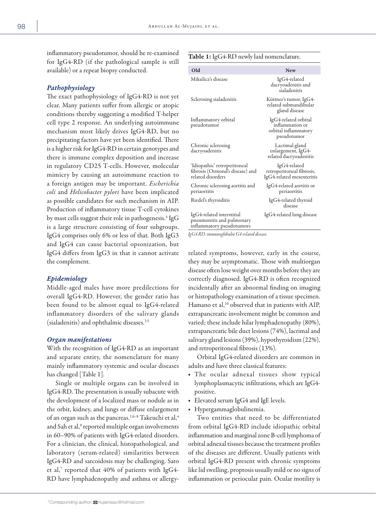inflammatory pseudotumor, should be re-examined for IgG4-RD (if the pathological sample is still available) or a repeat biopsy conducted.

## *Pathophysiology*

The exact pathophysiology of IgG4-RD is not yet clear. Many patients suffer from allergic or atopic conditions thereby suggesting a modified T-helper cell type 2 response. An underlying autoimmune mechanism most likely drives IgG4-RD, but no precipitating factors have yet been identified. There is a higher risk for IgG4-RD in certain genotypes and there is immune complex deposition and increase in regulatory CD25 T-cells. However, molecular mimicry by causing an autoimmune reaction to a foreign antigen may be important. *Escherichia coli* and *Helicobacter pylori* have been implicated as possible candidates for such mechanism in AIP. Production of inflammatory tissue T-cell cytokines by mast cells suggest their role in pathogenesis. $\rm ^4$  IgG is a large structure consisting of four subgroups. IgG4 comprises only 6% or less of that. Both IgG3 and IgG4 can cause bacterial opsonization, but IgG4 differs from IgG3 in that it cannot activate the complement.

## *Epidemiology*

Middle-aged males have more predilections for overall IgG4-RD. However, the gender ratio has been found to be almost equal to IgG4-related inflammatory disorders of the salivary glands (sialadenitis) and ophthalmic diseases.3,5

## *Organ manifestations*

With the recognition of IgG4-RD as an important and separate entity, the nomenclature for many mainly inflammatory systemic and ocular diseases has changed [Table 1].

Single or multiple organs can be involved in IgG4-RD. The presentation is usually subacute with the development of a localized mass or nodule as in the orbit, kidney, and lungs or diffuse enlargement of an organ such as the pancreas.<sup>1,6-8</sup> Takeuchi et al,<sup>4</sup> and Sah et al,<sup>9</sup> reported multiple organ involvements in 60–90% of patients with IgG4-related disorders. For a clinician, the clinical, histopathological, and laboratory (serum-related) similarities between IgG4-RD and sarcoidosis may be challenging. Sato et al, $^7$  reported that  $40\%$  of patients with IgG4-RD have lymphadenopathy and asthma or allergy-

## Table 1: IgG4-RD newly laid nomenclature.

| Old                                                                                  | <b>New</b>                                                                     |
|--------------------------------------------------------------------------------------|--------------------------------------------------------------------------------|
| Mikulicz's disease                                                                   | IgG4-related<br>dacryoadenitis and<br>sialadenitis                             |
| Sclerosing sialadenitis                                                              | Küttner's tumor, IgG4-<br>related submandibular<br>gland disease               |
| Inflammatory orbital<br>pseudotumor                                                  | IgG4-related orbital<br>inflammation or<br>orbital inflammatory<br>pseudotumor |
| Chronic sclerosing<br>dacryoadenitis                                                 | Lacrimal gland<br>enlargement, IgG4-<br>related dacryoadenitis                 |
| 'Idiopathic' retroperitoneal<br>fibrosis (Ormond's disease) and<br>related disorders | IgG4-related<br>retroperitoneal fibrosis,<br>IgG4-related mesenteritis         |
| Chronic sclerosing aortitis and<br>periaortitis                                      | IgG4-related aortitis or<br>periaortitis                                       |
| Riedel's thyroiditis                                                                 | IgG4-related thyroid<br>disease                                                |
| IgG4-related interstitial<br>pneumonitis and pulmonary<br>inflammatory pseudotumors  | IgG4-related lung disease                                                      |

*IgG4-RD: immunoglobulin G4-related disease.*

related symptoms, however, early in the course, they may be asymptomatic. Those with multiorgan disease often lose weight over months before they are correctly diagnosed. IgG4-RD is often recognized incidentally after an abnormal finding on imaging or histopathology examination of a tissue specimen. Hamano et al,<sup>10</sup> observed that in patients with AIP, extrapancreatic involvement might be common and varied; these include hilar lymphadenopathy (80%), extrapancreatic bile duct lesions (74%), lacrimal and salivary gland lesions (39%), hypothyroidism (22%), and retroperitoneal fibrosis (13%).

Orbital IgG4-related disorders are common in adults and have three classical features:

- The ocular adnexal tissues show typical lymphoplasmacytic infiltrations, which are IgG4 positive.
- Elevated serum IgG4 and IgE levels.
- Hypergammaglobulinemia.

Two entities that need to be differentiated from orbital IgG4-RD include idiopathic orbital inflammation and marginal zone B-cell lymphoma of orbital adnexal tissues because the treatment profiles of the diseases are different. Usually patients with orbital IgG4-RD present with chronic symptoms like lid swelling, proptosis usually mild or no signs of inflammation or periocular pain. Ocular motility is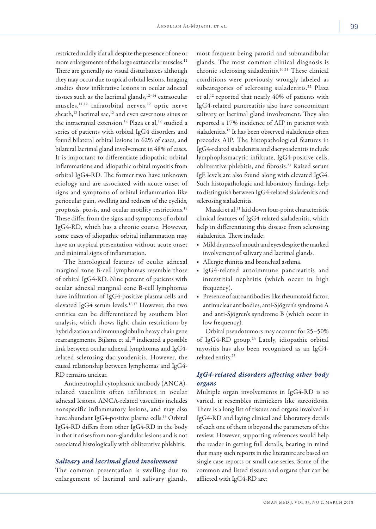restricted mildly if at all despite the presence of one or more enlargements of the large extraocular muscles.<sup>11</sup> There are generally no visual disturbances although they may occur due to apical orbital lesions. Imaging studies show infiltrative lesions in ocular adnexal tissues such as the lacrimal glands,<sup>12-14</sup> extraocular muscles,<sup>11,12</sup> infraorbital nerves,<sup>12</sup> optic nerve sheath,<sup>12</sup> lacrimal sac,<sup>12</sup> and even cavernous sinus or the intracranial extension.<sup>12</sup> Plaza et al,<sup>12</sup> studied a series of patients with orbital IgG4 disorders and found bilateral orbital lesions in 62% of cases, and bilateral lacrimal gland involvement in 48% of cases. It is important to differentiate idiopathic orbital inflammations and idiopathic orbital myositis from orbital IgG4-RD. The former two have unknown etiology and are associated with acute onset of signs and symptoms of orbital inflammation like periocular pain, swelling and redness of the eyelids, proptosis, ptosis, and ocular motility restrictions.15 These differ from the signs and symptoms of orbital IgG4-RD, which has a chronic course. However, some cases of idiopathic orbital inflammation may have an atypical presentation without acute onset and minimal signs of inflammation.

The histological features of ocular adnexal marginal zone B-cell lymphomas resemble those of orbital IgG4-RD. Nine percent of patients with ocular adnexal marginal zone B-cell lymphomas have infiltration of IgG4-positive plasma cells and elevated IgG4 serum levels.<sup>16,17</sup> However, the two entities can be differentiated by southern blot analysis, which shows light-chain restrictions by hybridization and immunoglobulin heavy chain gene rearrangements. Bijlsma et al,<sup>18</sup> indicated a possible link between ocular adnexal lymphomas and IgG4 related sclerosing dacryoadenitis. However, the causal relationship between lymphomas and IgG4- RD remains unclear.

Antineutrophil cytoplasmic antibody (ANCA) related vasculitis often infiltrates in ocular adnexal lesions. ANCA-related vasculitis includes nonspecific inflammatory lesions, and may also have abundant IgG4-positive plasma cells.<sup>19</sup> Orbital IgG4-RD differs from other IgG4-RD in the body in that it arises from non-glandular lesions and is not associated histologically with obliterative phlebitis.

## *Salivary and lacrimal gland involvement*

The common presentation is swelling due to enlargement of lacrimal and salivary glands, most frequent being parotid and submandibular glands. The most common clinical diagnosis is chronic sclerosing sialadenitis.20,21 These clinical conditions were previously wrongly labeled as subcategories of sclerosing sialadenitis.<sup>22</sup> Plaza et al,<sup>12</sup> reported that nearly 40% of patients with IgG4-related pancreatitis also have concomitant salivary or lacrimal gland involvement. They also reported a 17% incidence of AIP in patients with sialadenitis.<sup>12</sup> It has been observed sialadenitis often precedes AIP. The histopathological features in IgG4-related sialadenitis and dacryoadenitis include lymphoplasmacytic infiltrate, IgG4-positive cells, obliterative phlebitis, and fibrosis.<sup>23</sup> Raised serum IgE levels are also found along with elevated IgG4. Such histopathologic and laboratory findings help to distinguish between IgG4-related sialadenitis and sclerosing sialadenitis.

Masaki et al,<sup>21</sup> laid down four-point characteristic clinical features of IgG4-related sialadenitis, which help in differentiating this disease from sclerosing sialadenitis. These include:

- Mild dryness of mouth and eyes despite the marked involvement of salivary and lacrimal glands.
- Allergic rhinitis and bronchial asthma.
- IgG4-related autoimmune pancreatitis and interstitial nephritis (which occur in high frequency).
- Presence of autoantibodies like rheumatoid factor, antinuclear antibodies, anti-Sjögren's syndrome A and anti-Sjögren's syndrome B (which occur in low frequency).

Orbital pseudotumors may account for 25–50% of IgG4-RD group.<sup>24</sup> Lately, idiopathic orbital myositis has also been recognized as an IgG4 related entity.25

# *IgG4-related disorders affecting other body organs*

Multiple organ involvements in IgG4-RD is so varied, it resembles mimickers like sarcoidosis. There is a long list of tissues and organs involved in IgG4-RD and laying clinical and laboratory details of each one of them is beyond the parameters of this review. However, supporting references would help the reader in getting full details, bearing in mind that many such reports in the literature are based on single case reports or small case series. Some of the common and listed tissues and organs that can be afflicted with IgG4-RD are: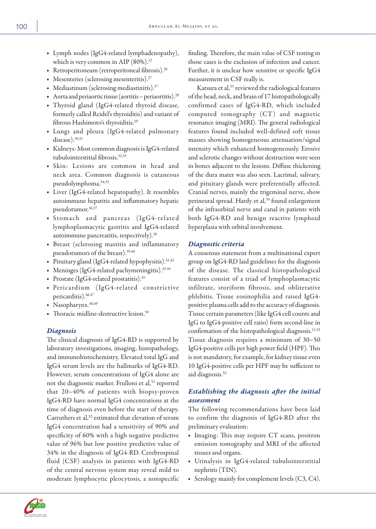- Lymph nodes (IgG4-related lymphadenopathy), which is very common in AIP  $(80\%).$ <sup>12</sup>
- Retroperitoneum (retroperitoneal fibrosis).<sup>26</sup>
- Mesenteries (sclerosing mesenteritis).<sup>27</sup>
- $\blacksquare$  Mediastinum (sclerosing mediastinitis).<sup>27</sup>
- Aorta and periaortic tissue (aortitis periaortitis).28
- Thyroid gland (IgG4-related thyroid disease, formerly called Reidel's thyroiditis) and variant of fibrous Hashimoto's thyroiditis.29
- Lungs and pleura (IgG4-related pulmonary disease).<sup>30,31</sup>
- Kidneys: Most common diagnosis is IgG4-related tubulointerstitial fibrosis.32,33
- Skin: Lesions are common in head and neck area. Common diagnosis is cutaneous pseudolymphoma.34,35
- Liver (IgG4-related hepatopathy). It resembles autoimmune hepatitis and inflammatory hepatic pseudotumor.36,37
- Stomach and pancreas (IgG4-related lymphoplasmacytic gastritis and IgG4-related autoimmune pancreatitis, respectively).38
- Breast (sclerosing mastitis and inflammatory pseudotumors of the breast).39,40
- Pituitary gland (IgG4-related hypophysitis). $41,42$
- Meninges (IgG4-related pachymeningitis).<sup>43,44</sup>
- Prostate (IgG4-related prostatitis).45
- Pericardium (IgG4-related constrictive pericarditis).  $46,47$
- Nasopharynx. 48,49
- Thoracic midline-destructive lesion.50

# *Diagnosis*

The clinical diagnosis of IgG4-RD is supported by laboratory investigations, imaging, histopathology, and immunohistochemistry. Elevated total IgG and IgG4 serum levels are the hallmarks of IgG4-RD. However, serum concentrations of IgG4 alone are not the diagnostic marker. Frulloni et al,<sup>51</sup> reported that 20–40% of patients with biopsy-proven IgG4-RD have normal IgG4 concentrations at the time of diagnosis even before the start of therapy. Carruthers et al,<sup>52</sup> estimated that elevation of serum IgG4 concentration had a sensitivity of 90% and specificity of 60% with a high negative predictive value of 96% but low positive predictive value of 34% in the diagnosis of IgG4-RD. Cerebrospinal fluid (CSF) analysis in patients with IgG4-RD of the central nervous system may reveal mild to moderate lymphocytic pleocytosis, a nonspecific

finding. Therefore, the main value of CSF testing in those cases is the exclusion of infection and cancer. Further, it is unclear how sensitive or specific IgG4 measurement in CSF really is.

Katsura et al,<sup>53</sup> reviewed the radiological features of the head, neck, and brain of 17 histopathologically confirmed cases of IgG4-RD, which included computed tomography (CT) and magnetic resonance imaging (MRI). The general radiological features found included well-defined soft tissue masses showing homogeneous attenuation/signal intensity which enhanced homogeneously. Erosive and sclerotic changes without destruction were seen in bones adjacent to the lesions. Diffuse thickening of the dura mater was also seen. Lacrimal, salivary, and pituitary glands were preferentially affected. Cranial nerves, mainly the trigeminal nerve, show perineural spread. Hardy et al,<sup>54</sup> found enlargement of the infraorbital nerve and canal in patients with both IgG4-RD and benign reactive lymphoid hyperplasia with orbital involvement.

# *Diagnostic criteria*

A consensus statement from a multinational expert group on IgG4-RD laid guidelines for the diagnosis of the disease. The classical histopathological features consist of a triad of lymphoplasmacytic infiltrate, storiform fibrosis, and obliterative phlebitis. Tissue eosinophilia and raised IgG4 positive plasma cells add to the accuracy of diagnosis. Tissue certain parameters (like IgG4 cell counts and IgG to IgG4-positive cell ratio) form second-line in confirmation of the histopathological diagnosis.<sup>21,55</sup> Tissue diagnosis requires a minimum of 30–50 IgG4-positive cells per high power field (HPF). This is not mandatory, for example, for kidney tissue even 10 IgG4-positive cells per HPF may be sufficient to aid diagnosis.55

# *Establishing the diagnosis after the initial assessment*

The following recommendations have been laid to confirm the diagnosis of IgG4-RD after the preliminary evaluation:

- Imaging: This may require CT scans, positron emission tomography and MRI of the affected tissues and organs.
- Urinalysis in IgG4-related tubulointerstitial nephritis (TIN).
- Serology mainly for complement levels  $(C3, C4)$ .

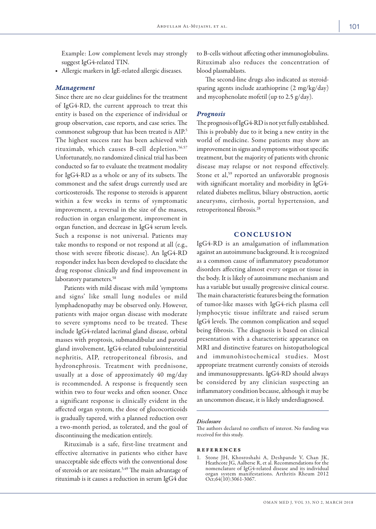Example: Low complement levels may strongly suggest IgG4-related TIN.

■ Allergic markers in IgE-related allergic diseases.

## *Management*

Since there are no clear guidelines for the treatment of IgG4-RD, the current approach to treat this entity is based on the experience of individual or group observation, case reports, and case series. The commonest subgroup that has been treated is AIP.5 The highest success rate has been achieved with rituximab, which causes B-cell depletion.56,57 Unfortunately, no randomized clinical trial has been conducted so far to evaluate the treatment modality for IgG4-RD as a whole or any of its subsets. The commonest and the safest drugs currently used are corticosteroids. The response to steroids is apparent within a few weeks in terms of symptomatic improvement, a reversal in the size of the masses, reduction in organ enlargement, improvement in organ function, and decrease in IgG4 serum levels. Such a response is not universal. Patients may take months to respond or not respond at all (e.g., those with severe fibrotic disease). An IgG4-RD responder index has been developed to elucidate the drug response clinically and find improvement in laboratory parameters.<sup>58</sup>

Patients with mild disease with mild 'symptoms and signs' like small lung nodules or mild lymphadenopathy may be observed only. However, patients with major organ disease with moderate to severe symptoms need to be treated. These include IgG4-related lacrimal gland disease, orbital masses with proptosis, submandibular and parotid gland involvement, IgG4-related tubulointerstitial nephritis, AIP, retroperitoneal fibrosis, and hydronephrosis. Treatment with prednisone, usually at a dose of approximately 40 mg/day is recommended. A response is frequently seen within two to four weeks and often sooner. Once a significant response is clinically evident in the affected organ system, the dose of glucocorticoids is gradually tapered, with a planned reduction over a two-month period, as tolerated, and the goal of discontinuing the medication entirely.

Rituximab is a safe, first-line treatment and effective alternative in patients who either have unacceptable side effects with the conventional dose of steroids or are resistant.<sup>5,49</sup> The main advantage of rituximab is it causes a reduction in serum IgG4 due

to B-cells without affecting other immunoglobulins. Rituximab also reduces the concentration of blood plasmablasts.

The second-line drugs also indicated as steroidsparing agents include azathioprine (2 mg/kg/day) and mycophenolate mofetil (up to 2.5 g/day).

#### *Prognosis*

The prognosis of IgG4-RD is not yet fully established. This is probably due to it being a new entity in the world of medicine. Some patients may show an improvement in signs and symptoms without specific treatment, but the majority of patients with chronic disease may relapse or not respond effectively. Stone et al,<sup>59</sup> reported an unfavorable prognosis with significant mortality and morbidity in IgG4 related diabetes mellitus, biliary obstruction, aortic aneurysms, cirrhosis, portal hypertension, and retroperitoneal fibrosis.28

## **CONCLUSION**

IgG4-RD is an amalgamation of inflammation against an autoimmune background. It is recognized as a common cause of inflammatory pseudotumor disorders affecting almost every organ or tissue in the body. It is likely of autoimmune mechanism and has a variable but usually progressive clinical course. The main characteristic features being the formation of tumor-like masses with IgG4-rich plasma cell lymphocytic tissue infiltrate and raised serum IgG4 levels. The common complication and sequel being fibrosis. The diagnosis is based on clinical presentation with a characteristic appearance on MRI and distinctive features on histopathological and immunohistochemical studies. Most appropriate treatment currently consists of steroids and immunosuppressants. IgG4-RD should always be considered by any clinician suspecting an inflammatory condition because, although it may be an uncommon disease, it is likely underdiagnosed.

## *Disclosure*

The authors declared no conflicts of interest. No funding was received for this study.

#### references

Stone JH, Khosroshahi A, Deshpande V, Chan JK, Heathcote JG, Aalberse R, et al. Recommendations for the nomenclature of IgG4-related disease and its individual organ system manifestations. Arthritis Rheum 2012 Oct;64(10):3061-3067.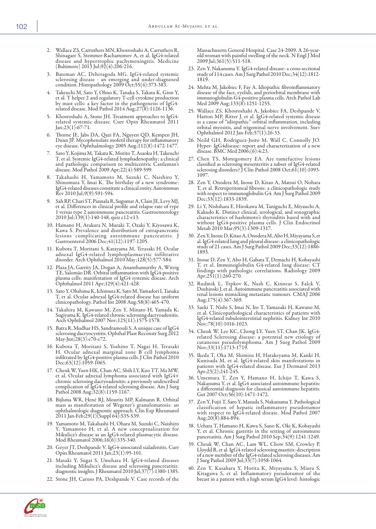- 
- 2. Wallace ZS, Carruthers MN, Khosroshahi A, Carruthers R, Shinagare S, Stemmer-Rachamimov A, et al. IgG4-related disease and hypertrophic pachymeningitis. Medicine (Baltimore) 2013 Jul;92(4):206-216.
- 3. Bateman AC, Deheragoda MG. IgG4-related systemic sclerosing disease - an emerging and under-diagnosed condition. Histopathology 2009 Oct;55(4):373-383.
- 4. Takeuchi M, Sato Y, Ohno K, Tanaka S, Takata K, Gion Y, et al. T helper 2 and regulatory T-cell cytokine production by mast cells: a key factor in the pathogenesis of IgG4 related disease. Mod Pathol 2014 Aug;27(8):1126-1136.
- 5. Khosroshahi A, Stone JH. Treatment approaches to IgG4 related systemic disease. Curr Opin Rheumatol 2011 Jan;23(1):67-71.
- 6. Thorne JE, Jabs DA, Qazi FA, Nguyen QD, Kempen JH, Dunn JP. Mycophenolate mofetil therapy for inflammatory eye disease. Ophthalmology 2005 Aug;112(8):1472-1477.
- 7. Sato Y, Kojima M, Takata K, Morito T, Asaoku H, Takeuchi T, et al. Systemic IgG4-related lymphadenopathy: a clinical and pathologic comparison to multicentric Castleman's disease. Mod Pathol 2009 Apr;22(4):589-599.
- 8. Takahashi H, Yamamoto M, Suzuki C, Naishiro Y, Shinomura Y, Imai K. The birthday of a new syndrome: IgG4-related diseases constitute a clinical entity. Autoimmun Rev 2010 Jul;9(9):591-594.
- 9. Sah RP, Chari ST, Pannala R, Sugumar A, Clain JE, Levy MJ, et al. Differences in clinical profile and relapse rate of type 1 versus type 2 autoimmune pancreatitis. Gastroenterology 2010 Jul;139(1):140-148, quiz e12-e13.
- 10. Hamano H, Arakura N, Muraki T, Ozaki Y, Kiyosawa K, Kawa S. Prevalence and distribution of extrapancreatic lesions complicating autoimmune pancreatitis. J Gastroenterol 2006 Dec;41(12):1197-1205.
- 11. Kubota T, Moritani S, Katayama M, Terasaki H. Ocular adnexal IgG4-related lymphoplasmacytic infiltrative disorder. Arch Ophthalmol 2010 May;128(5):577-584.
- 12. Plaza JA, Garrity JA, Dogan A, Ananthamurthy A, Witzig TE, Salomão DR. Orbital inflammation with IgG4-positive plasma cells: manifestation of IgG4 systemic disease. Arch Ophthalmol 2011 Apr;129(4):421-428.
- 13. Sato Y, Ohshima K, Ichimura K, Sato M, Yamadori I, Tanaka T, et al. Ocular adnexal IgG4-related disease has uniform clinicopathology. Pathol Int 2008 Aug;58(8):465-470.
- Takahira M, Kawano M, Zen Y, Minato H, Yamada K, Sugiyama K. IgG4-related chronic sclerosing dacryoadenitis. Arch Ophthalmol 2007 Nov;125(11):1575-1578.
- 15. Batra R, Mudhar HS, Sandramouli S. A unique case of IgG4 sclerosing dacryocystitis. Ophthal Plast Reconstr Surg 2012 May-Jun;28(3):e70-e72.
- 16. Kubota T, Moritani S, Yoshino T, Nagai H, Terasaki H. Ocular adnexal marginal zone B cell lymphoma infiltrated by IgG4-positive plasma cells. J Clin Pathol 2010 Dec;63(12):1059-1065.
- 17. Cheuk W, Yuen HK, Chan AC, Shih LY, Kuo TT, Ma MW, et al. Ocular adnexal lymphoma associated with IgG4+ chronic sclerosing dacryoadenitis: a previously undescribed complication of IgG4-related sclerosing disease. Am J Surg Pathol 2008 Aug; 32(8): 1159-1167.
- 18. Bijlsma WR, Hené RJ, Mourits MP, Kalmann R. Orbital mass as manifestation of Wegener's granulomatosis: an ophthalmologic diagnostic approach. Clin Exp Rheumatol 2011 Jan-Feb;29(1)(Suppl 64):S35-S39.
- 19. Yamamoto M, Takahashi H, Ohara M, Suzuki C, Naishiro Y, Yamamoto H, et al. A new conceptualization for Mikulicz's disease as an IgG4-related plasmacytic disease. Mod Rheumatol 2006;16(6):335-340.
- 20. Geyer JT, Deshpande V. IgG4-associated sialadenitis. Curr Opin Rheumatol 2011 Jan;23(1):95-101.
- 21. Masaki Y, Sugai S, Umehara H. IgG4-related diseases including Mikulicz's disease and sclerosing pancreatitis: diagnostic insights. J Rheumatol 2010 Jul;37(7):1380-1385.
- 22. Stone JH, Caruso PA, Deshpande V. Case records of the

Massachusetts General Hospital. Case 24-2009. A 26-yearold woman with painful swelling of the neck. N Engl J Med 2009 Jul;361(5):511-518.

- 23. Zen Y, Nakanuma Y. IgG4-related disease: a cross-sectional study of 114 cases. Am J Surg Pathol 2010 Dec;34(12):1812- 1819.
- 24. Mehta M, Jakobiec F, Fay A. Idiopathic fibroinflammatory disease of the face, eyelids, and periorbital membrane with immunoglobulin G4-positive plasma cells. Arch Pathol Lab Med 2009 Aug;133(8):1251-1255.
- 25. Wallace ZS, Khosroshahi A, Jakobiec FA, Deshpande V, Hatton MP, Ritter J, et al. IgG4-related systemic disease as a cause of "idiopathic" orbital inflammation, including orbital myositis, and trigeminal nerve involvement. Surv Ophthalmol 2012 Jan-Feb;57(1):26-33.
- 26. Neild GH, Rodriguez-Justo M, Wall C, Connolly JO. Hyper- IgG4disease: report and characterization of a new disease. BMC Med 2006;(6):4:23.
- 27. Chen TS, Montgomery EA. Are tumefactive lesions classified as sclerosing mesenteritis a subset of IgG4-related sclerosing disorders? J Clin Pathol 2008 Oct;61(10):1093-1097.
- 28. Zen Y, Onodera M, Inoue D, Kitao A, Matsui O, Nohara T, et al. Retroperitoneal fibrosis: a clinicopathologic study with respect to immunoglobulin G4. Am J Surg Pathol 2009 Dec;33(12):1833-1839.
- 29. Li Y, Nishihara E, Hirokawa M, Taniguchi E, Miyauchi A, Kakudo K. Distinct clinical, serological, and sonographic characteristics of hashimoto's thyroiditis based with and without IgG4-positive plasma cells. J Clin Endocrinol Metab 2010 Mar;95(3):1309-1317.
- 30. Zen Y, Inoue D, Kitao A, Onodera M, Abo H, Miyayama S, et al. IgG4-related lung and pleural disease: a clinicopathologic study of 21 cases. Am J Surg Pathol 2009 Dec;33(12):1886- 1893.
- 31. Inoue D, Zen Y, Abo H, Gabata T, Demachi H, Kobayashi T, et al. Immunoglobulin G4-related lung disease: CT findings with pathologic correlations. Radiology 2009 Apr;251(1):260-270.
- 32. Rudmik L, Trpkov K, Nash C, Kinnear S, Falck V, Dushinski J, et al. Autoimmune pancreatitis associated with renal lesions mimicking metastatic tumours. CMAJ 2006 Aug;175(4):367-369.
- 33. Saeki T, Nishi S, Imai N, Ito T, Yamazaki H, Kawano M, et al. Clinicopathological characteristics of patients with IgG4-related tubulointerstitial nephritis. Kidney Int 2010 Nov;78(10):1016-1023.
- 34. Cheuk W, Lee KC, Chong LY, Yuen ST, Chan JK. IgG4- related Sclerosing disease: a potential new etiology of cutaneous pseudolymphoma. Am J Surg Pathol 2009 Nov;33(11):1713-1719.
- 35. Ikeda T, Oka M, Shimizu H, Hatakeyama M, Kanki H, Kunisada M, et al. IgG4-related skin manifestations in patients with IgG4-related disease. Eur J Dermatol 2013 Apr;23(2):241-245.
- 36. Umemura T, Zen Y, Hamano H, Ichijo T, Kawa S, Nakanuma Y, et al. IgG4 associated autoimmune hepatitis: a differential diagnosis for classical autoimmune hepatitis. Gut 2007 Oct;56(10):1471-1472.
- 37. Zen Y, Fujii T, Sato Y, Masuda S, Nakanuma Y. Pathological classification of hepatic inflammatory pseudotumor with respect to IgG4-related disease. Mod Pathol 2007 Aug;20(8):884-894.
- 38. Uehara T, Hamano H, Kawa S, Sano K, Oki K, Kobayashi Y, et al. Chronic gastritis in the setting of autoimmune pancreatitis. Am J Surg Pathol 2010 Sep;34(9):1241-1249.
- 39. Cheuk W, Chan AC, Lam WL, Chow SM, Crowley P, Lloydd R, et al. IgG4-related sclerosing mastitis: description of a new member of the IgG4-related sclerosing diseases. Am J Surg Pathol 2009 Jul;33(7):1058-1064.
- 40. Zen Y, Kasahara Y, Horita K, Miyayama S, Miura S, Kitagawa S, et al. Inflammatory pseudotumor of the breast in a patient with a high serum IgG4 level: histologic